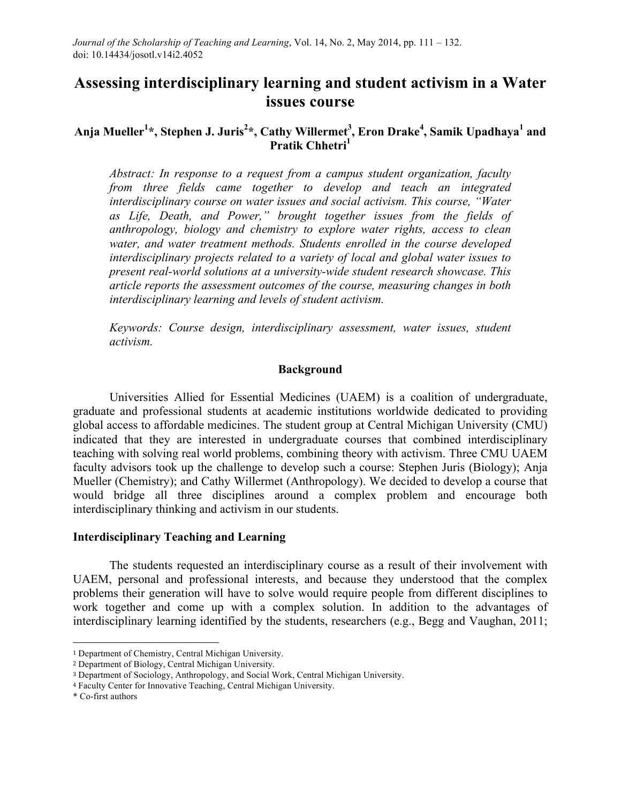# **Assessing interdisciplinary learning and student activism in a Water issues course**

## **Anja Mueller<sup>1</sup> \*, Stephen J. Juris<sup>2</sup> \*, Cathy Willermet3 , Eron Drake<sup>4</sup> , Samik Upadhaya1 and Pratik Chhetri**<sup>1</sup>

*Abstract: In response to a request from a campus student organization, faculty from three fields came together to develop and teach an integrated interdisciplinary course on water issues and social activism. This course, "Water as Life, Death, and Power," brought together issues from the fields of anthropology, biology and chemistry to explore water rights, access to clean water, and water treatment methods. Students enrolled in the course developed interdisciplinary projects related to a variety of local and global water issues to present real-world solutions at a university-wide student research showcase. This article reports the assessment outcomes of the course, measuring changes in both interdisciplinary learning and levels of student activism.*

*Keywords: Course design, interdisciplinary assessment, water issues, student activism.*

#### **Background**

Universities Allied for Essential Medicines (UAEM) is a coalition of undergraduate, graduate and professional students at academic institutions worldwide dedicated to providing global access to affordable medicines. The student group at Central Michigan University (CMU) indicated that they are interested in undergraduate courses that combined interdisciplinary teaching with solving real world problems, combining theory with activism. Three CMU UAEM faculty advisors took up the challenge to develop such a course: Stephen Juris (Biology); Anja Mueller (Chemistry); and Cathy Willermet (Anthropology). We decided to develop a course that would bridge all three disciplines around a complex problem and encourage both interdisciplinary thinking and activism in our students.

## **Interdisciplinary Teaching and Learning**

The students requested an interdisciplinary course as a result of their involvement with UAEM, personal and professional interests, and because they understood that the complex problems their generation will have to solve would require people from different disciplines to work together and come up with a complex solution. In addition to the advantages of interdisciplinary learning identified by the students, researchers (e.g., Begg and Vaughan, 2011;

 

<sup>1</sup> Department of Chemistry, Central Michigan University.

<sup>2</sup> Department of Biology, Central Michigan University.

<sup>3</sup> Department of Sociology, Anthropology, and Social Work, Central Michigan University.

<sup>4</sup> Faculty Center for Innovative Teaching, Central Michigan University.

<sup>\*</sup> Co-first authors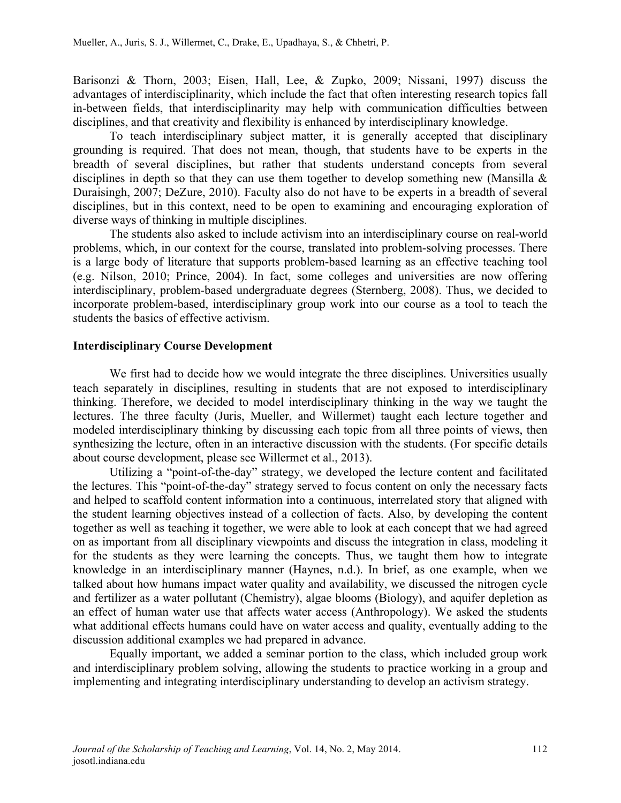Barisonzi & Thorn, 2003; Eisen, Hall, Lee, & Zupko, 2009; Nissani, 1997) discuss the advantages of interdisciplinarity, which include the fact that often interesting research topics fall in-between fields, that interdisciplinarity may help with communication difficulties between disciplines, and that creativity and flexibility is enhanced by interdisciplinary knowledge.

To teach interdisciplinary subject matter, it is generally accepted that disciplinary grounding is required. That does not mean, though, that students have to be experts in the breadth of several disciplines, but rather that students understand concepts from several disciplines in depth so that they can use them together to develop something new (Mansilla & Duraisingh, 2007; DeZure, 2010). Faculty also do not have to be experts in a breadth of several disciplines, but in this context, need to be open to examining and encouraging exploration of diverse ways of thinking in multiple disciplines.

The students also asked to include activism into an interdisciplinary course on real-world problems, which, in our context for the course, translated into problem-solving processes. There is a large body of literature that supports problem-based learning as an effective teaching tool (e.g. Nilson, 2010; Prince, 2004). In fact, some colleges and universities are now offering interdisciplinary, problem-based undergraduate degrees (Sternberg, 2008). Thus, we decided to incorporate problem-based, interdisciplinary group work into our course as a tool to teach the students the basics of effective activism.

## **Interdisciplinary Course Development**

We first had to decide how we would integrate the three disciplines. Universities usually teach separately in disciplines, resulting in students that are not exposed to interdisciplinary thinking. Therefore, we decided to model interdisciplinary thinking in the way we taught the lectures. The three faculty (Juris, Mueller, and Willermet) taught each lecture together and modeled interdisciplinary thinking by discussing each topic from all three points of views, then synthesizing the lecture, often in an interactive discussion with the students. (For specific details about course development, please see Willermet et al., 2013).

Utilizing a "point-of-the-day" strategy, we developed the lecture content and facilitated the lectures. This "point-of-the-day" strategy served to focus content on only the necessary facts and helped to scaffold content information into a continuous, interrelated story that aligned with the student learning objectives instead of a collection of facts. Also, by developing the content together as well as teaching it together, we were able to look at each concept that we had agreed on as important from all disciplinary viewpoints and discuss the integration in class, modeling it for the students as they were learning the concepts. Thus, we taught them how to integrate knowledge in an interdisciplinary manner (Haynes, n.d.). In brief, as one example, when we talked about how humans impact water quality and availability, we discussed the nitrogen cycle and fertilizer as a water pollutant (Chemistry), algae blooms (Biology), and aquifer depletion as an effect of human water use that affects water access (Anthropology). We asked the students what additional effects humans could have on water access and quality, eventually adding to the discussion additional examples we had prepared in advance.

Equally important, we added a seminar portion to the class, which included group work and interdisciplinary problem solving, allowing the students to practice working in a group and implementing and integrating interdisciplinary understanding to develop an activism strategy.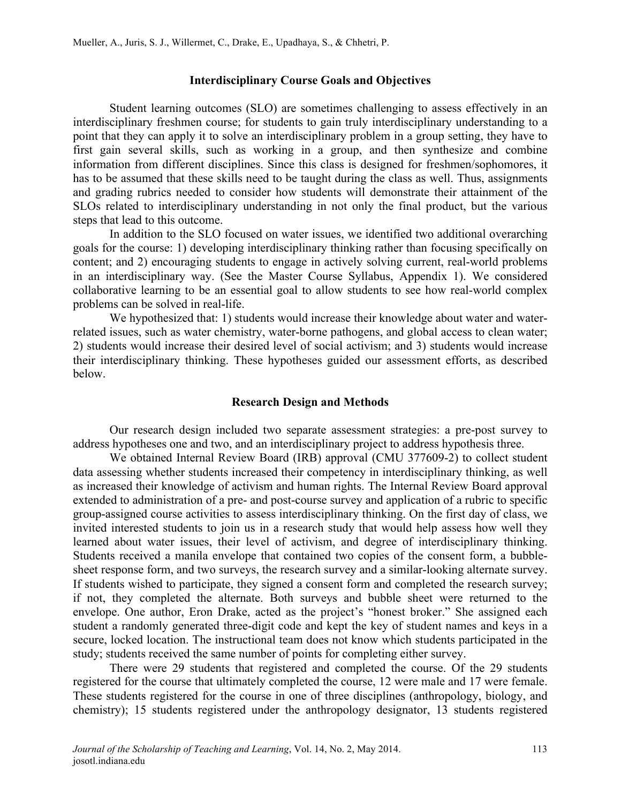#### **Interdisciplinary Course Goals and Objectives**

Student learning outcomes (SLO) are sometimes challenging to assess effectively in an interdisciplinary freshmen course; for students to gain truly interdisciplinary understanding to a point that they can apply it to solve an interdisciplinary problem in a group setting, they have to first gain several skills, such as working in a group, and then synthesize and combine information from different disciplines. Since this class is designed for freshmen/sophomores, it has to be assumed that these skills need to be taught during the class as well. Thus, assignments and grading rubrics needed to consider how students will demonstrate their attainment of the SLOs related to interdisciplinary understanding in not only the final product, but the various steps that lead to this outcome.

In addition to the SLO focused on water issues, we identified two additional overarching goals for the course: 1) developing interdisciplinary thinking rather than focusing specifically on content; and 2) encouraging students to engage in actively solving current, real-world problems in an interdisciplinary way. (See the Master Course Syllabus, Appendix 1). We considered collaborative learning to be an essential goal to allow students to see how real-world complex problems can be solved in real-life.

We hypothesized that: 1) students would increase their knowledge about water and waterrelated issues, such as water chemistry, water-borne pathogens, and global access to clean water; 2) students would increase their desired level of social activism; and 3) students would increase their interdisciplinary thinking. These hypotheses guided our assessment efforts, as described below.

#### **Research Design and Methods**

Our research design included two separate assessment strategies: a pre-post survey to address hypotheses one and two, and an interdisciplinary project to address hypothesis three.

We obtained Internal Review Board (IRB) approval (CMU 377609-2) to collect student data assessing whether students increased their competency in interdisciplinary thinking, as well as increased their knowledge of activism and human rights. The Internal Review Board approval extended to administration of a pre- and post-course survey and application of a rubric to specific group-assigned course activities to assess interdisciplinary thinking. On the first day of class, we invited interested students to join us in a research study that would help assess how well they learned about water issues, their level of activism, and degree of interdisciplinary thinking. Students received a manila envelope that contained two copies of the consent form, a bubblesheet response form, and two surveys, the research survey and a similar-looking alternate survey. If students wished to participate, they signed a consent form and completed the research survey; if not, they completed the alternate. Both surveys and bubble sheet were returned to the envelope. One author, Eron Drake, acted as the project's "honest broker." She assigned each student a randomly generated three-digit code and kept the key of student names and keys in a secure, locked location. The instructional team does not know which students participated in the study; students received the same number of points for completing either survey.

There were 29 students that registered and completed the course. Of the 29 students registered for the course that ultimately completed the course, 12 were male and 17 were female. These students registered for the course in one of three disciplines (anthropology, biology, and chemistry); 15 students registered under the anthropology designator, 13 students registered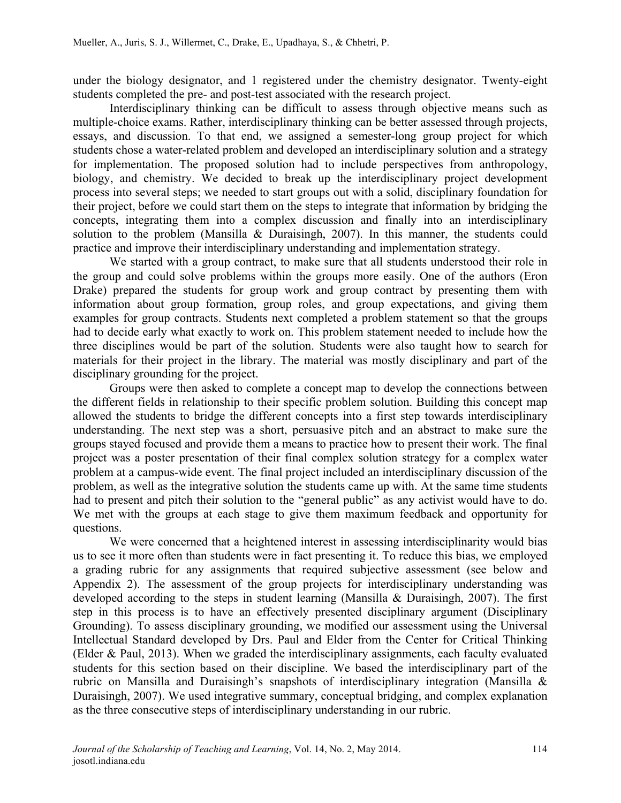under the biology designator, and 1 registered under the chemistry designator. Twenty-eight students completed the pre- and post-test associated with the research project.

Interdisciplinary thinking can be difficult to assess through objective means such as multiple-choice exams. Rather, interdisciplinary thinking can be better assessed through projects, essays, and discussion. To that end, we assigned a semester-long group project for which students chose a water-related problem and developed an interdisciplinary solution and a strategy for implementation. The proposed solution had to include perspectives from anthropology, biology, and chemistry. We decided to break up the interdisciplinary project development process into several steps; we needed to start groups out with a solid, disciplinary foundation for their project, before we could start them on the steps to integrate that information by bridging the concepts, integrating them into a complex discussion and finally into an interdisciplinary solution to the problem (Mansilla & Duraisingh, 2007). In this manner, the students could practice and improve their interdisciplinary understanding and implementation strategy.

We started with a group contract, to make sure that all students understood their role in the group and could solve problems within the groups more easily. One of the authors (Eron Drake) prepared the students for group work and group contract by presenting them with information about group formation, group roles, and group expectations, and giving them examples for group contracts. Students next completed a problem statement so that the groups had to decide early what exactly to work on. This problem statement needed to include how the three disciplines would be part of the solution. Students were also taught how to search for materials for their project in the library. The material was mostly disciplinary and part of the disciplinary grounding for the project.

Groups were then asked to complete a concept map to develop the connections between the different fields in relationship to their specific problem solution. Building this concept map allowed the students to bridge the different concepts into a first step towards interdisciplinary understanding. The next step was a short, persuasive pitch and an abstract to make sure the groups stayed focused and provide them a means to practice how to present their work. The final project was a poster presentation of their final complex solution strategy for a complex water problem at a campus-wide event. The final project included an interdisciplinary discussion of the problem, as well as the integrative solution the students came up with. At the same time students had to present and pitch their solution to the "general public" as any activist would have to do. We met with the groups at each stage to give them maximum feedback and opportunity for questions.

We were concerned that a heightened interest in assessing interdisciplinarity would bias us to see it more often than students were in fact presenting it. To reduce this bias, we employed a grading rubric for any assignments that required subjective assessment (see below and Appendix 2). The assessment of the group projects for interdisciplinary understanding was developed according to the steps in student learning (Mansilla & Duraisingh, 2007). The first step in this process is to have an effectively presented disciplinary argument (Disciplinary Grounding). To assess disciplinary grounding, we modified our assessment using the Universal Intellectual Standard developed by Drs. Paul and Elder from the Center for Critical Thinking (Elder & Paul, 2013). When we graded the interdisciplinary assignments, each faculty evaluated students for this section based on their discipline. We based the interdisciplinary part of the rubric on Mansilla and Duraisingh's snapshots of interdisciplinary integration (Mansilla & Duraisingh, 2007). We used integrative summary, conceptual bridging, and complex explanation as the three consecutive steps of interdisciplinary understanding in our rubric.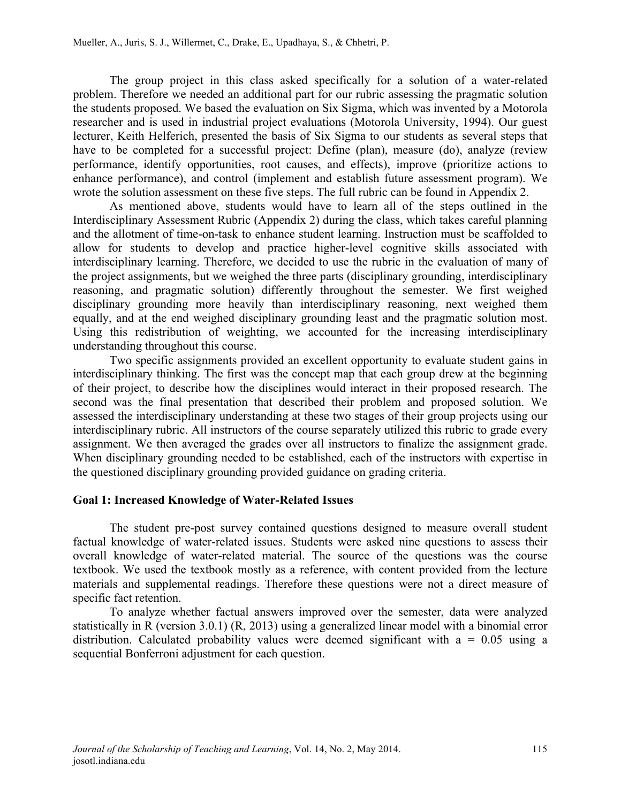The group project in this class asked specifically for a solution of a water-related problem. Therefore we needed an additional part for our rubric assessing the pragmatic solution the students proposed. We based the evaluation on Six Sigma, which was invented by a Motorola researcher and is used in industrial project evaluations (Motorola University, 1994). Our guest lecturer, Keith Helferich, presented the basis of Six Sigma to our students as several steps that have to be completed for a successful project: Define (plan), measure (do), analyze (review performance, identify opportunities, root causes, and effects), improve (prioritize actions to enhance performance), and control (implement and establish future assessment program). We wrote the solution assessment on these five steps. The full rubric can be found in Appendix 2.

As mentioned above, students would have to learn all of the steps outlined in the Interdisciplinary Assessment Rubric (Appendix 2) during the class, which takes careful planning and the allotment of time-on-task to enhance student learning. Instruction must be scaffolded to allow for students to develop and practice higher-level cognitive skills associated with interdisciplinary learning. Therefore, we decided to use the rubric in the evaluation of many of the project assignments, but we weighed the three parts (disciplinary grounding, interdisciplinary reasoning, and pragmatic solution) differently throughout the semester. We first weighed disciplinary grounding more heavily than interdisciplinary reasoning, next weighed them equally, and at the end weighed disciplinary grounding least and the pragmatic solution most. Using this redistribution of weighting, we accounted for the increasing interdisciplinary understanding throughout this course.

Two specific assignments provided an excellent opportunity to evaluate student gains in interdisciplinary thinking. The first was the concept map that each group drew at the beginning of their project, to describe how the disciplines would interact in their proposed research. The second was the final presentation that described their problem and proposed solution. We assessed the interdisciplinary understanding at these two stages of their group projects using our interdisciplinary rubric. All instructors of the course separately utilized this rubric to grade every assignment. We then averaged the grades over all instructors to finalize the assignment grade. When disciplinary grounding needed to be established, each of the instructors with expertise in the questioned disciplinary grounding provided guidance on grading criteria.

## **Goal 1: Increased Knowledge of Water-Related Issues**

The student pre-post survey contained questions designed to measure overall student factual knowledge of water-related issues. Students were asked nine questions to assess their overall knowledge of water-related material. The source of the questions was the course textbook. We used the textbook mostly as a reference, with content provided from the lecture materials and supplemental readings. Therefore these questions were not a direct measure of specific fact retention.

To analyze whether factual answers improved over the semester, data were analyzed statistically in R (version 3.0.1) (R, 2013) using a generalized linear model with a binomial error distribution. Calculated probability values were deemed significant with  $a = 0.05$  using a sequential Bonferroni adjustment for each question.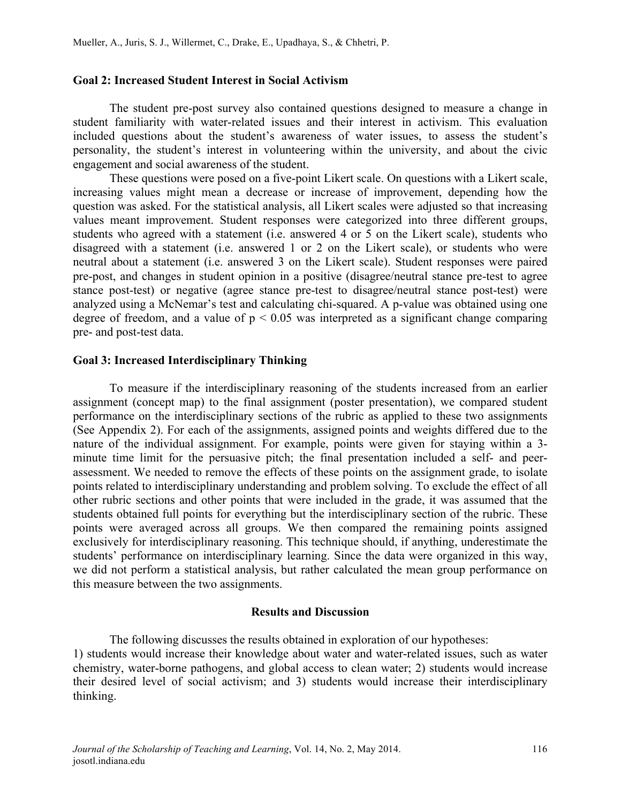## **Goal 2: Increased Student Interest in Social Activism**

The student pre-post survey also contained questions designed to measure a change in student familiarity with water-related issues and their interest in activism. This evaluation included questions about the student's awareness of water issues, to assess the student's personality, the student's interest in volunteering within the university, and about the civic engagement and social awareness of the student.

These questions were posed on a five-point Likert scale. On questions with a Likert scale, increasing values might mean a decrease or increase of improvement, depending how the question was asked. For the statistical analysis, all Likert scales were adjusted so that increasing values meant improvement. Student responses were categorized into three different groups, students who agreed with a statement (i.e. answered 4 or 5 on the Likert scale), students who disagreed with a statement (i.e. answered 1 or 2 on the Likert scale), or students who were neutral about a statement (i.e. answered 3 on the Likert scale). Student responses were paired pre-post, and changes in student opinion in a positive (disagree/neutral stance pre-test to agree stance post-test) or negative (agree stance pre-test to disagree/neutral stance post-test) were analyzed using a McNemar's test and calculating chi-squared. A p-value was obtained using one degree of freedom, and a value of  $p < 0.05$  was interpreted as a significant change comparing pre- and post-test data.

## **Goal 3: Increased Interdisciplinary Thinking**

To measure if the interdisciplinary reasoning of the students increased from an earlier assignment (concept map) to the final assignment (poster presentation), we compared student performance on the interdisciplinary sections of the rubric as applied to these two assignments (See Appendix 2). For each of the assignments, assigned points and weights differed due to the nature of the individual assignment. For example, points were given for staying within a 3 minute time limit for the persuasive pitch; the final presentation included a self- and peerassessment. We needed to remove the effects of these points on the assignment grade, to isolate points related to interdisciplinary understanding and problem solving. To exclude the effect of all other rubric sections and other points that were included in the grade, it was assumed that the students obtained full points for everything but the interdisciplinary section of the rubric. These points were averaged across all groups. We then compared the remaining points assigned exclusively for interdisciplinary reasoning. This technique should, if anything, underestimate the students' performance on interdisciplinary learning. Since the data were organized in this way, we did not perform a statistical analysis, but rather calculated the mean group performance on this measure between the two assignments.

#### **Results and Discussion**

The following discusses the results obtained in exploration of our hypotheses: 1) students would increase their knowledge about water and water-related issues, such as water chemistry, water-borne pathogens, and global access to clean water; 2) students would increase their desired level of social activism; and 3) students would increase their interdisciplinary thinking.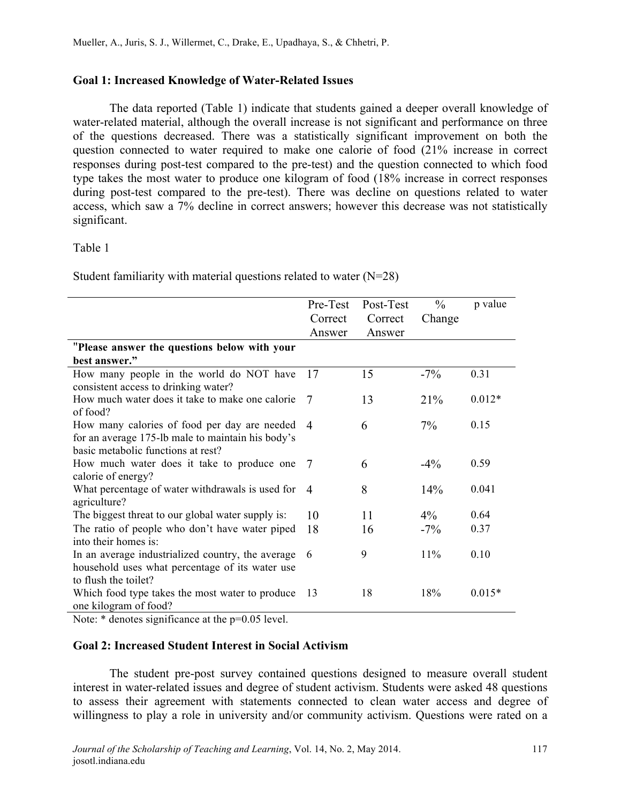## **Goal 1: Increased Knowledge of Water-Related Issues**

The data reported (Table 1) indicate that students gained a deeper overall knowledge of water-related material, although the overall increase is not significant and performance on three of the questions decreased. There was a statistically significant improvement on both the question connected to water required to make one calorie of food (21% increase in correct responses during post-test compared to the pre-test) and the question connected to which food type takes the most water to produce one kilogram of food (18% increase in correct responses during post-test compared to the pre-test). There was decline on questions related to water access, which saw a 7% decline in correct answers; however this decrease was not statistically significant.

## Table 1

Student familiarity with material questions related to water (N=28)

|                                                                                                                                         | Pre-Test       | Post-Test | $\frac{0}{0}$ | p value  |
|-----------------------------------------------------------------------------------------------------------------------------------------|----------------|-----------|---------------|----------|
|                                                                                                                                         | Correct        | Correct   | Change        |          |
|                                                                                                                                         | Answer         | Answer    |               |          |
| "Please answer the questions below with your                                                                                            |                |           |               |          |
| best answer."                                                                                                                           |                |           |               |          |
| How many people in the world do NOT have<br>consistent access to drinking water?                                                        | 17             | 15        | $-7\%$        | 0.31     |
| How much water does it take to make one calorie<br>of food?                                                                             | 7              | 13        | 21%           | $0.012*$ |
| How many calories of food per day are needed<br>for an average 175-lb male to maintain his body's<br>basic metabolic functions at rest? | $\overline{4}$ | 6         | $7\%$         | 0.15     |
| How much water does it take to produce one<br>calorie of energy?                                                                        | -7             | 6         | $-4\%$        | 0.59     |
| What percentage of water withdrawals is used for<br>agriculture?                                                                        | $\overline{4}$ | 8         | 14%           | 0.041    |
| The biggest threat to our global water supply is:                                                                                       | 10             | 11        | $4\%$         | 0.64     |
| The ratio of people who don't have water piped<br>into their homes is:                                                                  | 18             | 16        | $-7\%$        | 0.37     |
| In an average industrialized country, the average<br>household uses what percentage of its water use<br>to flush the toilet?            | 6              | 9         | 11%           | 0.10     |
| Which food type takes the most water to produce<br>one kilogram of food?                                                                | -13            | 18        | 18%           | $0.015*$ |

Note:  $*$  denotes significance at the p=0.05 level.

## **Goal 2: Increased Student Interest in Social Activism**

The student pre-post survey contained questions designed to measure overall student interest in water-related issues and degree of student activism. Students were asked 48 questions to assess their agreement with statements connected to clean water access and degree of willingness to play a role in university and/or community activism. Questions were rated on a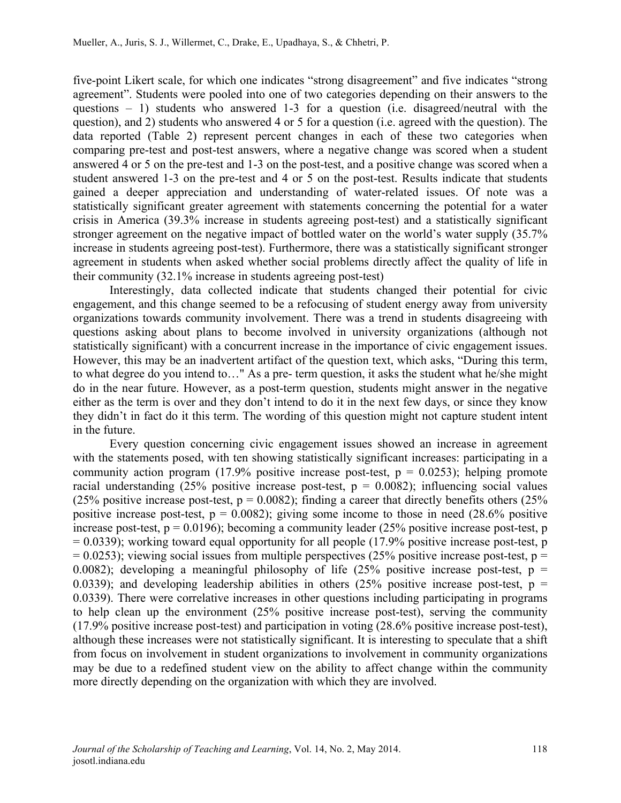five-point Likert scale, for which one indicates "strong disagreement" and five indicates "strong agreement". Students were pooled into one of two categories depending on their answers to the questions – 1) students who answered 1-3 for a question (i.e. disagreed/neutral with the question), and 2) students who answered 4 or 5 for a question (i.e. agreed with the question). The data reported (Table 2) represent percent changes in each of these two categories when comparing pre-test and post-test answers, where a negative change was scored when a student answered 4 or 5 on the pre-test and 1-3 on the post-test, and a positive change was scored when a student answered 1-3 on the pre-test and 4 or 5 on the post-test. Results indicate that students gained a deeper appreciation and understanding of water-related issues. Of note was a statistically significant greater agreement with statements concerning the potential for a water crisis in America (39.3% increase in students agreeing post-test) and a statistically significant stronger agreement on the negative impact of bottled water on the world's water supply (35.7% increase in students agreeing post-test). Furthermore, there was a statistically significant stronger agreement in students when asked whether social problems directly affect the quality of life in their community (32.1% increase in students agreeing post-test)

Interestingly, data collected indicate that students changed their potential for civic engagement, and this change seemed to be a refocusing of student energy away from university organizations towards community involvement. There was a trend in students disagreeing with questions asking about plans to become involved in university organizations (although not statistically significant) with a concurrent increase in the importance of civic engagement issues. However, this may be an inadvertent artifact of the question text, which asks, "During this term, to what degree do you intend to…" As a pre- term question, it asks the student what he/she might do in the near future. However, as a post-term question, students might answer in the negative either as the term is over and they don't intend to do it in the next few days, or since they know they didn't in fact do it this term. The wording of this question might not capture student intent in the future.

Every question concerning civic engagement issues showed an increase in agreement with the statements posed, with ten showing statistically significant increases: participating in a community action program (17.9% positive increase post-test,  $p = 0.0253$ ); helping promote racial understanding  $(25\%$  positive increase post-test,  $p = 0.0082$ ); influencing social values (25% positive increase post-test,  $p = 0.0082$ ); finding a career that directly benefits others (25%) positive increase post-test,  $p = 0.0082$ ); giving some income to those in need  $(28.6\%$  positive increase post-test,  $p = 0.0196$ ; becoming a community leader (25% positive increase post-test, p  $= 0.0339$ ); working toward equal opportunity for all people (17.9% positive increase post-test, p  $= 0.0253$ ); viewing social issues from multiple perspectives (25% positive increase post-test, p = 0.0082); developing a meaningful philosophy of life  $(25\%$  positive increase post-test, p = 0.0339); and developing leadership abilities in others (25% positive increase post-test,  $p =$ 0.0339). There were correlative increases in other questions including participating in programs to help clean up the environment (25% positive increase post-test), serving the community (17.9% positive increase post-test) and participation in voting (28.6% positive increase post-test), although these increases were not statistically significant. It is interesting to speculate that a shift from focus on involvement in student organizations to involvement in community organizations may be due to a redefined student view on the ability to affect change within the community more directly depending on the organization with which they are involved.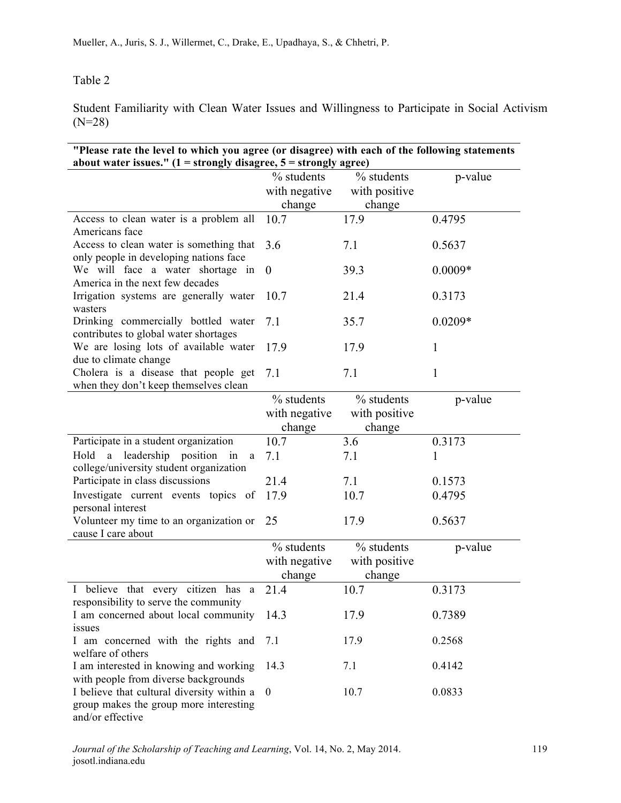# Table 2

Student Familiarity with Clean Water Issues and Willingness to Participate in Social Activism (N=28)

| "Please rate the level to which you agree (or disagree) with each of the following statements<br>about water issues." $(1 =$ strongly disagree, $5 =$ strongly agree) |                                       |                                       |              |  |  |
|-----------------------------------------------------------------------------------------------------------------------------------------------------------------------|---------------------------------------|---------------------------------------|--------------|--|--|
|                                                                                                                                                                       | % students                            | % students                            | p-value      |  |  |
|                                                                                                                                                                       | with negative                         | with positive                         |              |  |  |
|                                                                                                                                                                       | change                                | change                                |              |  |  |
| Access to clean water is a problem all<br>Americans face                                                                                                              | 10.7                                  | 17.9                                  | 0.4795       |  |  |
| Access to clean water is something that<br>only people in developing nations face                                                                                     | 3.6                                   | 7.1                                   | 0.5637       |  |  |
| We will face a water shortage in<br>America in the next few decades                                                                                                   | $\boldsymbol{0}$                      | 39.3                                  | $0.0009*$    |  |  |
| Irrigation systems are generally water<br>wasters                                                                                                                     | 10.7                                  | 21.4                                  | 0.3173       |  |  |
| Drinking commercially bottled water<br>contributes to global water shortages                                                                                          | 7.1                                   | 35.7                                  | $0.0209*$    |  |  |
| We are losing lots of available water<br>due to climate change                                                                                                        | 17.9                                  | 17.9                                  | $\mathbf{1}$ |  |  |
| Cholera is a disease that people get<br>when they don't keep themselves clean                                                                                         | 7.1                                   | 7.1                                   | $\mathbf{1}$ |  |  |
|                                                                                                                                                                       | % students<br>with negative<br>change | % students<br>with positive<br>change | p-value      |  |  |
| Participate in a student organization                                                                                                                                 | 10.7                                  | 3.6                                   | 0.3173       |  |  |
| Hold a leadership position in<br>a<br>college/university student organization                                                                                         | 7.1                                   | 7.1                                   | 1            |  |  |
| Participate in class discussions                                                                                                                                      | 21.4                                  | 7.1                                   | 0.1573       |  |  |
| Investigate current events topics of<br>personal interest                                                                                                             | 17.9                                  | 10.7                                  | 0.4795       |  |  |
| Volunteer my time to an organization or<br>cause I care about                                                                                                         | 25                                    | 17.9                                  | 0.5637       |  |  |
|                                                                                                                                                                       | % students<br>with negative<br>change | % students<br>with positive<br>change | p-value      |  |  |
| I believe that every citizen has a<br>responsibility to serve the community                                                                                           | 21.4                                  | 10.7                                  | 0.3173       |  |  |
| I am concerned about local community<br>issues                                                                                                                        | 14.3                                  | 17.9                                  | 0.7389       |  |  |
| I am concerned with the rights and<br>welfare of others                                                                                                               | 7.1                                   | 17.9                                  | 0.2568       |  |  |
| I am interested in knowing and working<br>with people from diverse backgrounds                                                                                        | 14.3                                  | 7.1                                   | 0.4142       |  |  |
| I believe that cultural diversity within a<br>group makes the group more interesting<br>and/or effective                                                              | $\theta$                              | 10.7                                  | 0.0833       |  |  |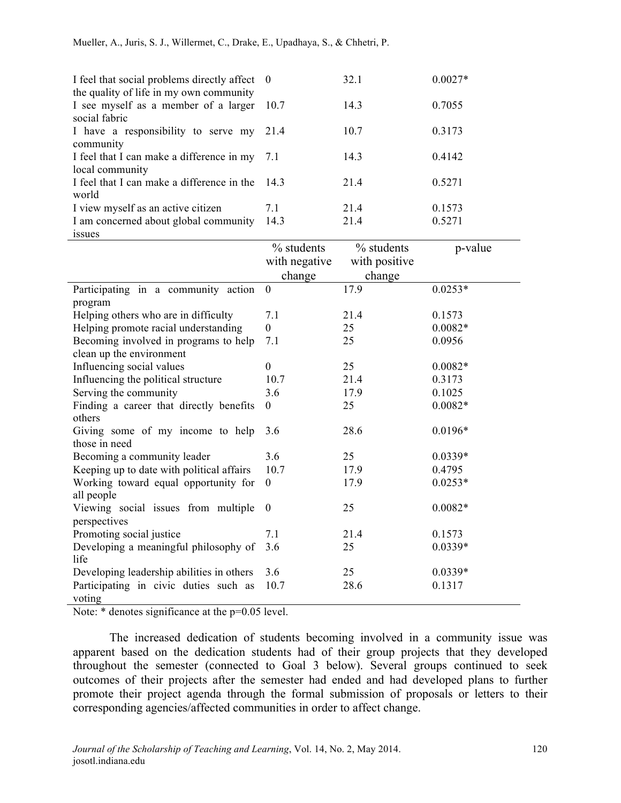| I feel that social problems directly affect $\theta$<br>the quality of life in my own community |      | 32.1 | $0.0027*$ |
|-------------------------------------------------------------------------------------------------|------|------|-----------|
| I see myself as a member of a larger 10.7<br>social fabric                                      |      | 14.3 | 0.7055    |
| I have a responsibility to serve my 21.4                                                        |      | 10.7 | 0.3173    |
| community                                                                                       |      |      |           |
| I feel that I can make a difference in my 7.1<br>local community                                |      | 14.3 | 0.4142    |
| I feel that I can make a difference in the 14.3<br>world                                        |      | 21.4 | 0.5271    |
| I view myself as an active citizen                                                              | 7.1  | 21.4 | 0.1573    |
| I am concerned about global community                                                           | 14.3 | 21.4 | 0.5271    |
| 1881168                                                                                         |      |      |           |

| -----                                              |                             |                             |           |
|----------------------------------------------------|-----------------------------|-----------------------------|-----------|
|                                                    | % students<br>with negative | % students<br>with positive | p-value   |
|                                                    | change                      | change                      |           |
| Participating in a community action                | $\boldsymbol{0}$            | 17.9                        | $0.0253*$ |
| program                                            |                             |                             |           |
| Helping others who are in difficulty               | 7.1                         | 21.4                        | 0.1573    |
| Helping promote racial understanding               | $\theta$                    | 25                          | $0.0082*$ |
| Becoming involved in programs to help              | 7.1                         | 25                          | 0.0956    |
| clean up the environment                           |                             |                             |           |
| Influencing social values                          | $\theta$                    | 25                          | $0.0082*$ |
| Influencing the political structure                | 10.7                        | 21.4                        | 0.3173    |
| Serving the community                              | 3.6                         | 17.9                        | 0.1025    |
| Finding a career that directly benefits            | $\theta$                    | 25                          | $0.0082*$ |
| others                                             |                             |                             |           |
| Giving some of my income to help                   | 3.6                         | 28.6                        | $0.0196*$ |
| those in need                                      |                             |                             |           |
| Becoming a community leader                        | 3.6                         | 25                          | $0.0339*$ |
| Keeping up to date with political affairs          | 10.7                        | 17.9                        | 0.4795    |
| Working toward equal opportunity for<br>all people | $\overline{0}$              | 17.9                        | $0.0253*$ |
| Viewing social issues from multiple                | $\theta$                    | 25                          | $0.0082*$ |
| perspectives                                       |                             |                             |           |
| Promoting social justice                           | 7.1                         | 21.4                        | 0.1573    |
| Developing a meaningful philosophy of<br>life      | 3.6                         | 25                          | $0.0339*$ |
| Developing leadership abilities in others          | 3.6                         | 25                          | $0.0339*$ |
| Participating in civic duties such as              | 10.7                        | 28.6                        | 0.1317    |
| voting                                             |                             |                             |           |

Note: \* denotes significance at the  $p=0.05$  level.

The increased dedication of students becoming involved in a community issue was apparent based on the dedication students had of their group projects that they developed throughout the semester (connected to Goal 3 below). Several groups continued to seek outcomes of their projects after the semester had ended and had developed plans to further promote their project agenda through the formal submission of proposals or letters to their corresponding agencies/affected communities in order to affect change.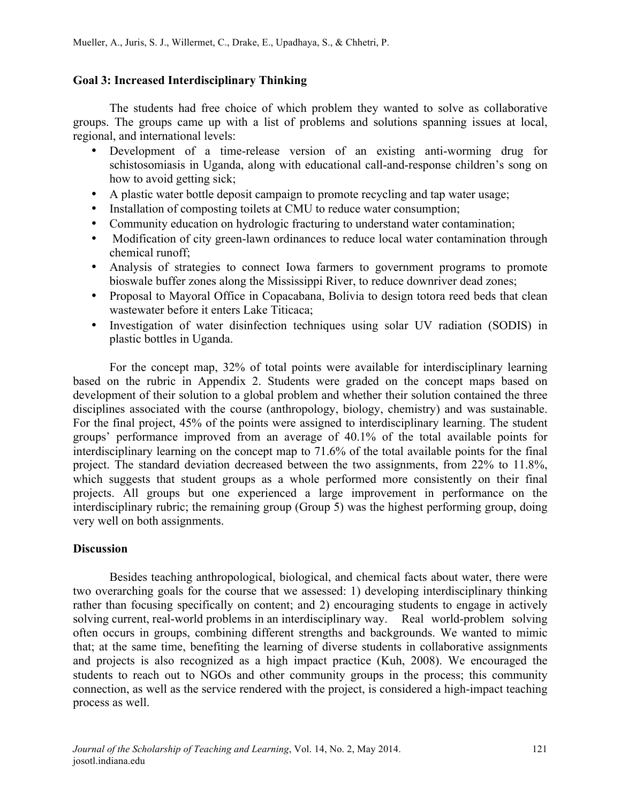## **Goal 3: Increased Interdisciplinary Thinking**

The students had free choice of which problem they wanted to solve as collaborative groups. The groups came up with a list of problems and solutions spanning issues at local, regional, and international levels:

- Development of a time-release version of an existing anti-worming drug for schistosomiasis in Uganda, along with educational call-and-response children's song on how to avoid getting sick;
- A plastic water bottle deposit campaign to promote recycling and tap water usage;
- Installation of composting toilets at CMU to reduce water consumption;
- Community education on hydrologic fracturing to understand water contamination;
- Modification of city green-lawn ordinances to reduce local water contamination through chemical runoff;
- Analysis of strategies to connect Iowa farmers to government programs to promote bioswale buffer zones along the Mississippi River, to reduce downriver dead zones;
- Proposal to Mayoral Office in Copacabana, Bolivia to design totora reed beds that clean wastewater before it enters Lake Titicaca;
- Investigation of water disinfection techniques using solar UV radiation (SODIS) in plastic bottles in Uganda.

For the concept map, 32% of total points were available for interdisciplinary learning based on the rubric in Appendix 2. Students were graded on the concept maps based on development of their solution to a global problem and whether their solution contained the three disciplines associated with the course (anthropology, biology, chemistry) and was sustainable. For the final project, 45% of the points were assigned to interdisciplinary learning. The student groups' performance improved from an average of 40.1% of the total available points for interdisciplinary learning on the concept map to 71.6% of the total available points for the final project. The standard deviation decreased between the two assignments, from 22% to 11.8%, which suggests that student groups as a whole performed more consistently on their final projects. All groups but one experienced a large improvement in performance on the interdisciplinary rubric; the remaining group (Group 5) was the highest performing group, doing very well on both assignments.

## **Discussion**

Besides teaching anthropological, biological, and chemical facts about water, there were two overarching goals for the course that we assessed: 1) developing interdisciplinary thinking rather than focusing specifically on content; and 2) encouraging students to engage in actively solving current, real-world problems in an interdisciplinary way. Real world-problem solving often occurs in groups, combining different strengths and backgrounds. We wanted to mimic that; at the same time, benefiting the learning of diverse students in collaborative assignments and projects is also recognized as a high impact practice (Kuh, 2008). We encouraged the students to reach out to NGOs and other community groups in the process; this community connection, as well as the service rendered with the project, is considered a high-impact teaching process as well.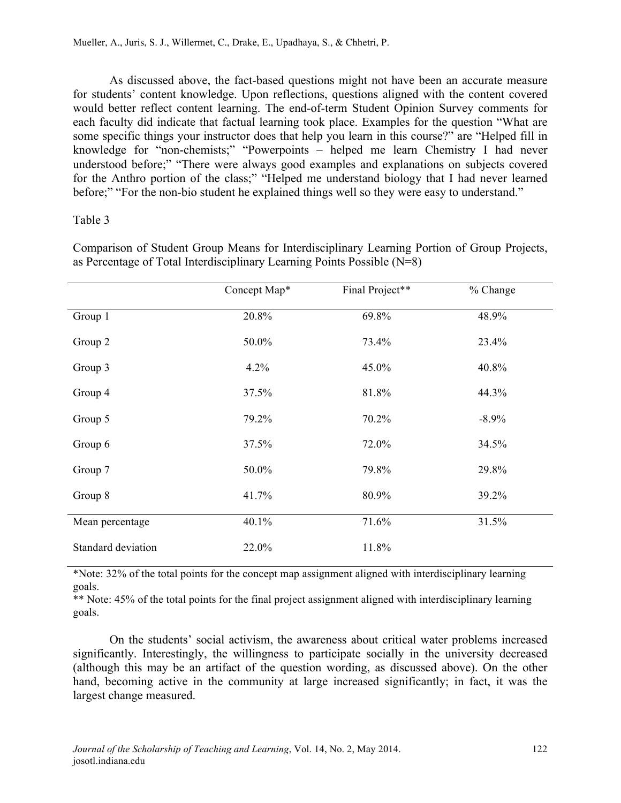As discussed above, the fact-based questions might not have been an accurate measure for students' content knowledge. Upon reflections, questions aligned with the content covered would better reflect content learning. The end-of-term Student Opinion Survey comments for each faculty did indicate that factual learning took place. Examples for the question "What are some specific things your instructor does that help you learn in this course?" are "Helped fill in knowledge for "non-chemists;" "Powerpoints – helped me learn Chemistry I had never understood before;" "There were always good examples and explanations on subjects covered for the Anthro portion of the class;" "Helped me understand biology that I had never learned before;" "For the non-bio student he explained things well so they were easy to understand."

## Table 3

|                    | Concept Map* | Final Project** | % Change |
|--------------------|--------------|-----------------|----------|
| Group 1            | 20.8%        | 69.8%           | 48.9%    |
| Group 2            | 50.0%        | 73.4%           | 23.4%    |
| Group 3            | 4.2%         | 45.0%           | 40.8%    |
| Group 4            | 37.5%        | 81.8%           | 44.3%    |
| Group 5            | 79.2%        | 70.2%           | $-8.9\%$ |
| Group 6            | 37.5%        | 72.0%           | 34.5%    |
| Group 7            | 50.0%        | 79.8%           | 29.8%    |
| Group 8            | 41.7%        | 80.9%           | 39.2%    |
| Mean percentage    | 40.1%        | 71.6%           | 31.5%    |
| Standard deviation | 22.0%        | 11.8%           |          |

Comparison of Student Group Means for Interdisciplinary Learning Portion of Group Projects, as Percentage of Total Interdisciplinary Learning Points Possible (N=8)

\*Note: 32% of the total points for the concept map assignment aligned with interdisciplinary learning goals.

\*\* Note: 45% of the total points for the final project assignment aligned with interdisciplinary learning goals.

On the students' social activism, the awareness about critical water problems increased significantly. Interestingly, the willingness to participate socially in the university decreased (although this may be an artifact of the question wording, as discussed above). On the other hand, becoming active in the community at large increased significantly; in fact, it was the largest change measured.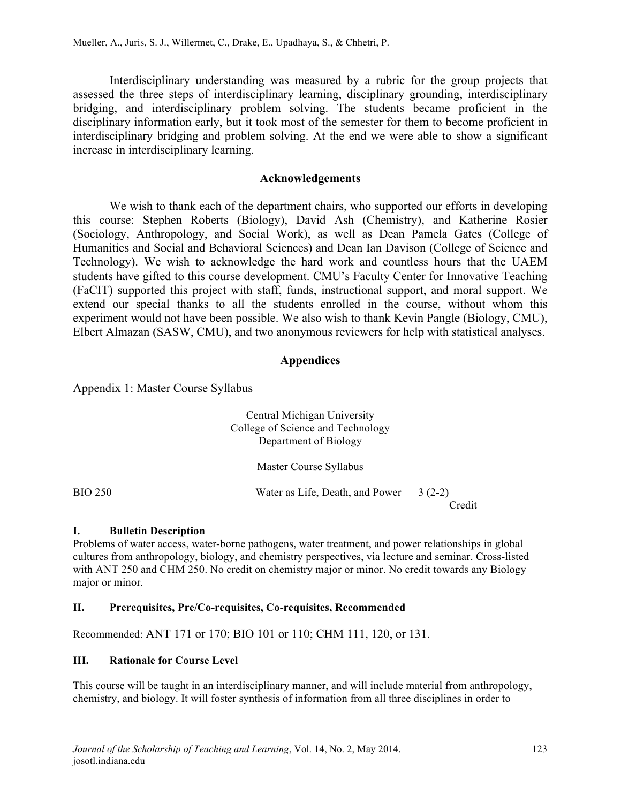Interdisciplinary understanding was measured by a rubric for the group projects that assessed the three steps of interdisciplinary learning, disciplinary grounding, interdisciplinary bridging, and interdisciplinary problem solving. The students became proficient in the disciplinary information early, but it took most of the semester for them to become proficient in interdisciplinary bridging and problem solving. At the end we were able to show a significant increase in interdisciplinary learning.

#### **Acknowledgements**

We wish to thank each of the department chairs, who supported our efforts in developing this course: Stephen Roberts (Biology), David Ash (Chemistry), and Katherine Rosier (Sociology, Anthropology, and Social Work), as well as Dean Pamela Gates (College of Humanities and Social and Behavioral Sciences) and Dean Ian Davison (College of Science and Technology). We wish to acknowledge the hard work and countless hours that the UAEM students have gifted to this course development. CMU's Faculty Center for Innovative Teaching (FaCIT) supported this project with staff, funds, instructional support, and moral support. We extend our special thanks to all the students enrolled in the course, without whom this experiment would not have been possible. We also wish to thank Kevin Pangle (Biology, CMU), Elbert Almazan (SASW, CMU), and two anonymous reviewers for help with statistical analyses.

## **Appendices**

Appendix 1: Master Course Syllabus

| Central Michigan University       |
|-----------------------------------|
| College of Science and Technology |
| Department of Biology             |

Master Course Syllabus

| <b>BIO 250</b> | Water as Life, Death, and Power | $3(2-2)$ |
|----------------|---------------------------------|----------|
|                |                                 | Credit   |

## **I. Bulletin Description**

Problems of water access, water-borne pathogens, water treatment, and power relationships in global cultures from anthropology, biology, and chemistry perspectives, via lecture and seminar. Cross-listed with ANT 250 and CHM 250. No credit on chemistry major or minor. No credit towards any Biology major or minor.

## **II. Prerequisites, Pre/Co-requisites, Co-requisites, Recommended**

Recommended: ANT 171 or 170; BIO 101 or 110; CHM 111, 120, or 131.

## **III. Rationale for Course Level**

This course will be taught in an interdisciplinary manner, and will include material from anthropology, chemistry, and biology. It will foster synthesis of information from all three disciplines in order to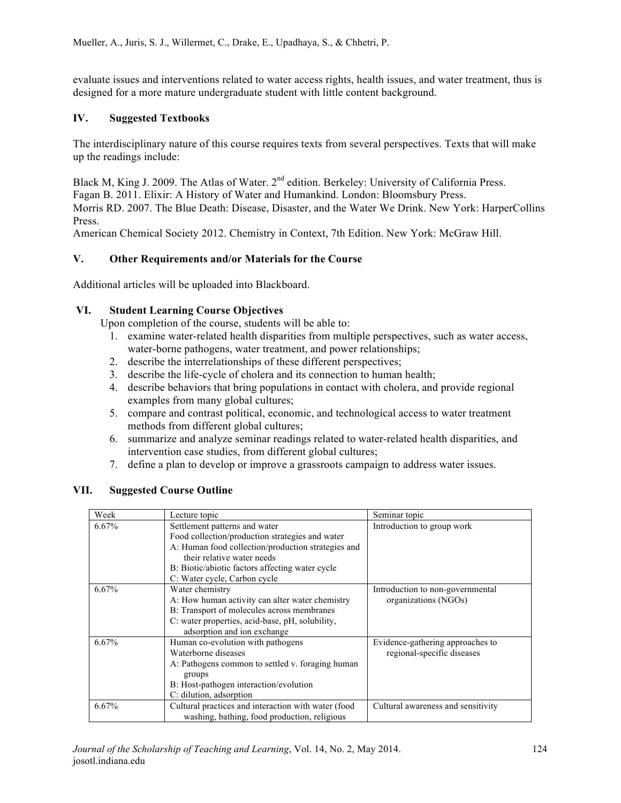evaluate issues and interventions related to water access rights, health issues, and water treatment, thus is designed for a more mature undergraduate student with little content background.

## **IV. Suggested Textbooks**

The interdisciplinary nature of this course requires texts from several perspectives. Texts that will make up the readings include:

Black M, King J. 2009. The Atlas of Water. 2<sup>nd</sup> edition. Berkeley: University of California Press. Fagan B. 2011. Elixir: A History of Water and Humankind. London: Bloomsbury Press. Morris RD. 2007. The Blue Death: Disease, Disaster, and the Water We Drink. New York: HarperCollins Press.

American Chemical Society 2012. Chemistry in Context, 7th Edition. New York: McGraw Hill.

## **V. Other Requirements and/or Materials for the Course**

Additional articles will be uploaded into Blackboard.

## **VI. Student Learning Course Objectives**

Upon completion of the course, students will be able to:

- 1. examine water-related health disparities from multiple perspectives, such as water access, water-borne pathogens, water treatment, and power relationships;
- 2. describe the interrelationships of these different perspectives;
- 3. describe the life-cycle of cholera and its connection to human health;
- 4. describe behaviors that bring populations in contact with cholera, and provide regional examples from many global cultures;
- 5. compare and contrast political, economic, and technological access to water treatment methods from different global cultures;
- 6. summarize and analyze seminar readings related to water-related health disparities, and intervention case studies, from different global cultures;
- 7. define a plan to develop or improve a grassroots campaign to address water issues.

#### **VII. Suggested Course Outline**

| Week  | Lecture topic                                                                                                                                                                                                                                           | Seminar topic                                                  |
|-------|---------------------------------------------------------------------------------------------------------------------------------------------------------------------------------------------------------------------------------------------------------|----------------------------------------------------------------|
| 6.67% | Settlement patterns and water<br>Food collection/production strategies and water<br>A: Human food collection/production strategies and<br>their relative water needs<br>B. Biotic/abiotic factors affecting water cycle<br>C: Water cycle, Carbon cycle | Introduction to group work                                     |
| 6.67% | Water chemistry<br>A: How human activity can alter water chemistry<br>B: Transport of molecules across membranes<br>C: water properties, acid-base, pH, solubility,<br>adsorption and ion exchange                                                      | Introduction to non-governmental<br>organizations (NGOs)       |
| 6.67% | Human co-evolution with pathogens<br>Waterborne diseases<br>A: Pathogens common to settled v. foraging human<br>groups<br>B: Host-pathogen interaction/evolution<br>C: dilution, adsorption                                                             | Evidence-gathering approaches to<br>regional-specific diseases |
| 6.67% | Cultural practices and interaction with water (food<br>washing, bathing, food production, religious                                                                                                                                                     | Cultural awareness and sensitivity                             |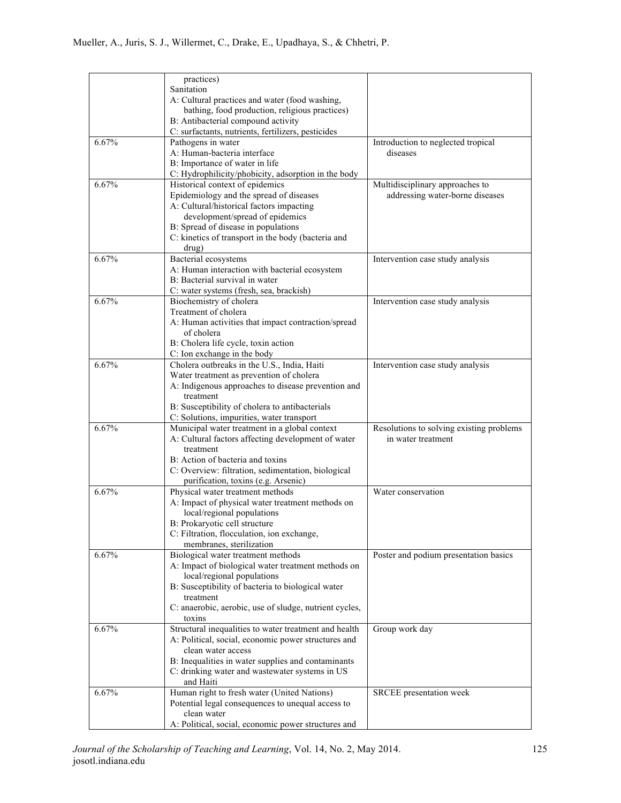|          | practices)                                                                      |                                          |
|----------|---------------------------------------------------------------------------------|------------------------------------------|
|          | Sanitation                                                                      |                                          |
|          | A: Cultural practices and water (food washing,                                  |                                          |
|          | bathing, food production, religious practices)                                  |                                          |
|          | B: Antibacterial compound activity                                              |                                          |
|          | C: surfactants, nutrients, fertilizers, pesticides                              |                                          |
| 6.67%    | Pathogens in water                                                              | Introduction to neglected tropical       |
|          | A: Human-bacteria interface                                                     | diseases                                 |
|          | B: Importance of water in life                                                  |                                          |
|          | C: Hydrophilicity/phobicity, adsorption in the body                             |                                          |
| 6.67%    | Historical context of epidemics                                                 | Multidisciplinary approaches to          |
|          | Epidemiology and the spread of diseases                                         | addressing water-borne diseases          |
|          | A: Cultural/historical factors impacting                                        |                                          |
|          | development/spread of epidemics                                                 |                                          |
|          | B: Spread of disease in populations                                             |                                          |
|          | C: kinetics of transport in the body (bacteria and                              |                                          |
| 6.67%    | drug)                                                                           |                                          |
|          | Bacterial ecosystems                                                            | Intervention case study analysis         |
|          | A: Human interaction with bacterial ecosystem<br>B: Bacterial survival in water |                                          |
|          |                                                                                 |                                          |
| 6.67%    | C: water systems (fresh, sea, brackish)<br>Biochemistry of cholera              | Intervention case study analysis         |
|          | Treatment of cholera                                                            |                                          |
|          | A: Human activities that impact contraction/spread                              |                                          |
|          | of cholera                                                                      |                                          |
|          | B: Cholera life cycle, toxin action                                             |                                          |
|          | C: Ion exchange in the body                                                     |                                          |
| 6.67%    | Cholera outbreaks in the U.S., India, Haiti                                     | Intervention case study analysis         |
|          | Water treatment as prevention of cholera                                        |                                          |
|          | A: Indigenous approaches to disease prevention and                              |                                          |
|          | treatment                                                                       |                                          |
|          | B: Susceptibility of cholera to antibacterials                                  |                                          |
|          | C: Solutions, impurities, water transport                                       |                                          |
| 6.67%    | Municipal water treatment in a global context                                   | Resolutions to solving existing problems |
|          | A: Cultural factors affecting development of water                              | in water treatment                       |
|          | treatment                                                                       |                                          |
|          | B: Action of bacteria and toxins                                                |                                          |
|          | C: Overview: filtration, sedimentation, biological                              |                                          |
|          | purification, toxins (e.g. Arsenic)                                             |                                          |
| $6.67\%$ | Physical water treatment methods                                                | Water conservation                       |
|          | A: Impact of physical water treatment methods on                                |                                          |
|          | local/regional populations                                                      |                                          |
|          | B: Prokaryotic cell structure<br>C: Filtration, flocculation, ion exchange,     |                                          |
|          | membranes, sterilization                                                        |                                          |
| 6.67%    | Biological water treatment methods                                              | Poster and podium presentation basics    |
|          | A: Impact of biological water treatment methods on                              |                                          |
|          | local/regional populations                                                      |                                          |
|          | B: Susceptibility of bacteria to biological water                               |                                          |
|          | treatment                                                                       |                                          |
|          | C: anaerobic, aerobic, use of sludge, nutrient cycles,                          |                                          |
|          | toxins                                                                          |                                          |
| 6.67%    | Structural inequalities to water treatment and health                           | Group work day                           |
|          | A: Political, social, economic power structures and                             |                                          |
|          | clean water access                                                              |                                          |
|          | B: Inequalities in water supplies and contaminants                              |                                          |
|          | C: drinking water and wastewater systems in US                                  |                                          |
|          | and Haiti                                                                       |                                          |
| 6.67%    | Human right to fresh water (United Nations)                                     | SRCEE presentation week                  |
|          | Potential legal consequences to unequal access to                               |                                          |
|          | clean water                                                                     |                                          |
|          | A: Political, social, economic power structures and                             |                                          |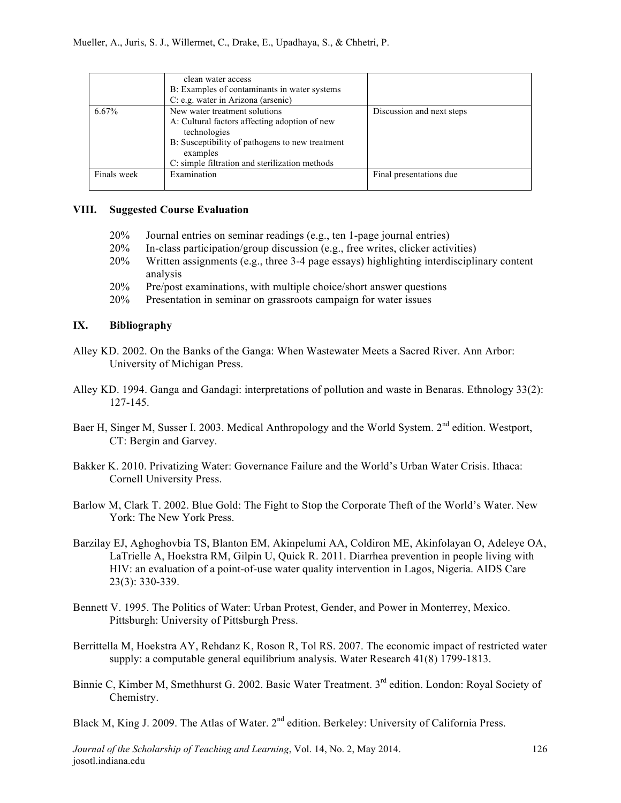|             | clean water access<br>B: Examples of contaminants in water systems<br>C: e.g. water in Arizona (arsenic)                                                                                                        |                           |
|-------------|-----------------------------------------------------------------------------------------------------------------------------------------------------------------------------------------------------------------|---------------------------|
| 6.67%       | New water treatment solutions<br>A: Cultural factors affecting adoption of new<br>technologies<br>B: Susceptibility of pathogens to new treatment<br>examples<br>C: simple filtration and sterilization methods | Discussion and next steps |
| Finals week | Examination                                                                                                                                                                                                     | Final presentations due   |

## **VIII. Suggested Course Evaluation**

- 20% Journal entries on seminar readings (e.g., ten 1-page journal entries)
- 20% In-class participation/group discussion (e.g., free writes, clicker activities)
- 20% Written assignments (e.g., three 3-4 page essays) highlighting interdisciplinary content analysis
- 20% Pre/post examinations, with multiple choice/short answer questions
- 20% Presentation in seminar on grassroots campaign for water issues

#### **IX. Bibliography**

- Alley KD. 2002. On the Banks of the Ganga: When Wastewater Meets a Sacred River. Ann Arbor: University of Michigan Press.
- Alley KD. 1994. Ganga and Gandagi: interpretations of pollution and waste in Benaras. Ethnology 33(2): 127-145.
- Baer H, Singer M, Susser I. 2003. Medical Anthropology and the World System. 2<sup>nd</sup> edition. Westport, CT: Bergin and Garvey.
- Bakker K. 2010. Privatizing Water: Governance Failure and the World's Urban Water Crisis. Ithaca: Cornell University Press.
- Barlow M, Clark T. 2002. Blue Gold: The Fight to Stop the Corporate Theft of the World's Water. New York: The New York Press.
- Barzilay EJ, Aghoghovbia TS, Blanton EM, Akinpelumi AA, Coldiron ME, Akinfolayan O, Adeleye OA, LaTrielle A, Hoekstra RM, Gilpin U, Quick R. 2011. Diarrhea prevention in people living with HIV: an evaluation of a point-of-use water quality intervention in Lagos, Nigeria. AIDS Care 23(3): 330-339.
- Bennett V. 1995. The Politics of Water: Urban Protest, Gender, and Power in Monterrey, Mexico. Pittsburgh: University of Pittsburgh Press.
- Berrittella M, Hoekstra AY, Rehdanz K, Roson R, Tol RS. 2007. The economic impact of restricted water supply: a computable general equilibrium analysis. Water Research 41(8) 1799-1813.
- Binnie C, Kimber M, Smethhurst G. 2002. Basic Water Treatment. 3<sup>rd</sup> edition. London: Royal Society of Chemistry.
- Black M, King J. 2009. The Atlas of Water. 2<sup>nd</sup> edition. Berkeley: University of California Press.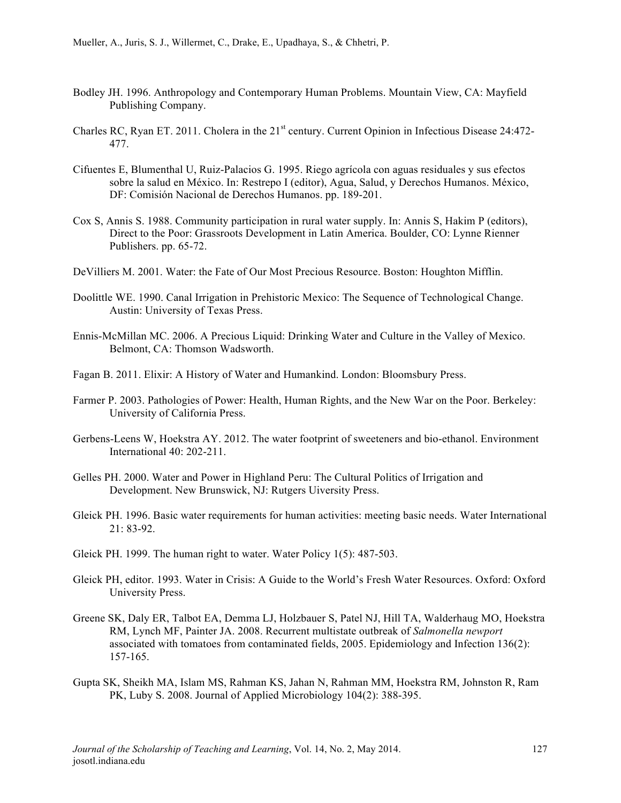- Bodley JH. 1996. Anthropology and Contemporary Human Problems. Mountain View, CA: Mayfield Publishing Company.
- Charles RC, Ryan ET. 2011. Cholera in the 21<sup>st</sup> century. Current Opinion in Infectious Disease 24:472-477.
- Cifuentes E, Blumenthal U, Ruiz-Palacios G. 1995. Riego agrícola con aguas residuales y sus efectos sobre la salud en México. In: Restrepo I (editor), Agua, Salud, y Derechos Humanos. México, DF: Comisión Nacional de Derechos Humanos. pp. 189-201.
- Cox S, Annis S. 1988. Community participation in rural water supply. In: Annis S, Hakim P (editors), Direct to the Poor: Grassroots Development in Latin America. Boulder, CO: Lynne Rienner Publishers. pp. 65-72.
- DeVilliers M. 2001. Water: the Fate of Our Most Precious Resource. Boston: Houghton Mifflin.
- Doolittle WE. 1990. Canal Irrigation in Prehistoric Mexico: The Sequence of Technological Change. Austin: University of Texas Press.
- Ennis-McMillan MC. 2006. A Precious Liquid: Drinking Water and Culture in the Valley of Mexico. Belmont, CA: Thomson Wadsworth.
- Fagan B. 2011. Elixir: A History of Water and Humankind. London: Bloomsbury Press.
- Farmer P. 2003. Pathologies of Power: Health, Human Rights, and the New War on the Poor. Berkeley: University of California Press.
- Gerbens-Leens W, Hoekstra AY. 2012. The water footprint of sweeteners and bio-ethanol. Environment International 40: 202-211.
- Gelles PH. 2000. Water and Power in Highland Peru: The Cultural Politics of Irrigation and Development. New Brunswick, NJ: Rutgers Uiversity Press.
- Gleick PH. 1996. Basic water requirements for human activities: meeting basic needs. Water International 21: 83-92.
- Gleick PH. 1999. The human right to water. Water Policy 1(5): 487-503.
- Gleick PH, editor. 1993. Water in Crisis: A Guide to the World's Fresh Water Resources. Oxford: Oxford University Press.
- Greene SK, Daly ER, Talbot EA, Demma LJ, Holzbauer S, Patel NJ, Hill TA, Walderhaug MO, Hoekstra RM, Lynch MF, Painter JA. 2008. Recurrent multistate outbreak of *Salmonella newport* associated with tomatoes from contaminated fields, 2005. Epidemiology and Infection 136(2): 157-165.
- Gupta SK, Sheikh MA, Islam MS, Rahman KS, Jahan N, Rahman MM, Hoekstra RM, Johnston R, Ram PK, Luby S. 2008. Journal of Applied Microbiology 104(2): 388-395.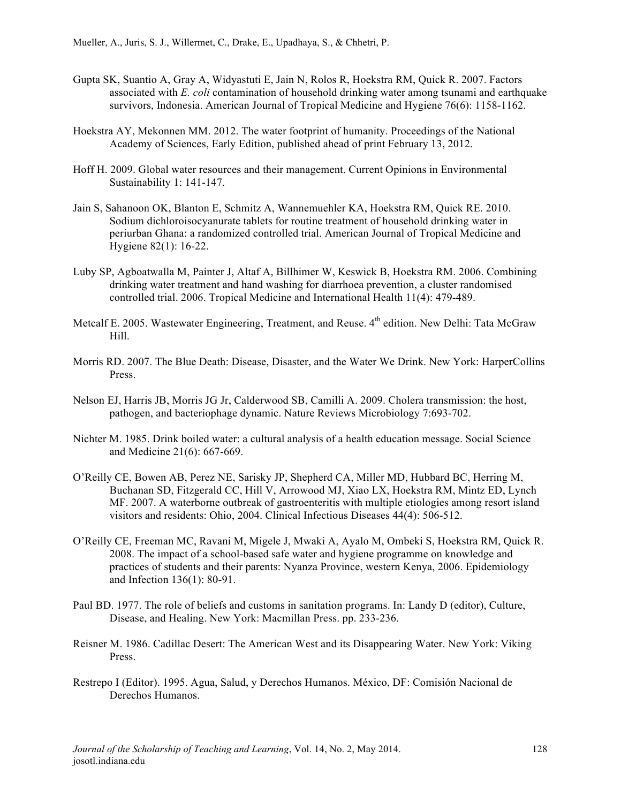- Gupta SK, Suantio A, Gray A, Widyastuti E, Jain N, Rolos R, Hoekstra RM, Quick R. 2007. Factors associated with *E. coli* contamination of household drinking water among tsunami and earthquake survivors, Indonesia. American Journal of Tropical Medicine and Hygiene 76(6): 1158-1162.
- Hoekstra AY, Mekonnen MM. 2012. The water footprint of humanity. Proceedings of the National Academy of Sciences, Early Edition, published ahead of print February 13, 2012.
- Hoff H. 2009. Global water resources and their management. Current Opinions in Environmental Sustainability 1: 141-147.
- Jain S, Sahanoon OK, Blanton E, Schmitz A, Wannemuehler KA, Hoekstra RM, Quick RE. 2010. Sodium dichloroisocyanurate tablets for routine treatment of household drinking water in periurban Ghana: a randomized controlled trial. American Journal of Tropical Medicine and Hygiene 82(1): 16-22.
- Luby SP, Agboatwalla M, Painter J, Altaf A, Billhimer W, Keswick B, Hoekstra RM. 2006. Combining drinking water treatment and hand washing for diarrhoea prevention, a cluster randomised controlled trial. 2006. Tropical Medicine and International Health 11(4): 479-489.
- Metcalf E. 2005. Wastewater Engineering, Treatment, and Reuse. 4<sup>th</sup> edition. New Delhi: Tata McGraw Hill.
- Morris RD. 2007. The Blue Death: Disease, Disaster, and the Water We Drink. New York: HarperCollins Press.
- Nelson EJ, Harris JB, Morris JG Jr, Calderwood SB, Camilli A. 2009. Cholera transmission: the host, pathogen, and bacteriophage dynamic. Nature Reviews Microbiology 7:693-702.
- Nichter M. 1985. Drink boiled water: a cultural analysis of a health education message. Social Science and Medicine 21(6): 667-669.
- O'Reilly CE, Bowen AB, Perez NE, Sarisky JP, Shepherd CA, Miller MD, Hubbard BC, Herring M, Buchanan SD, Fitzgerald CC, Hill V, Arrowood MJ, Xiao LX, Hoekstra RM, Mintz ED, Lynch MF. 2007. A waterborne outbreak of gastroenteritis with multiple etiologies among resort island visitors and residents: Ohio, 2004. Clinical Infectious Diseases 44(4): 506-512.
- O'Reilly CE, Freeman MC, Ravani M, Migele J, Mwaki A, Ayalo M, Ombeki S, Hoekstra RM, Quick R. 2008. The impact of a school-based safe water and hygiene programme on knowledge and practices of students and their parents: Nyanza Province, western Kenya, 2006. Epidemiology and Infection 136(1): 80-91.
- Paul BD. 1977. The role of beliefs and customs in sanitation programs. In: Landy D (editor), Culture, Disease, and Healing. New York: Macmillan Press. pp. 233-236.
- Reisner M. 1986. Cadillac Desert: The American West and its Disappearing Water. New York: Viking Press.
- Restrepo I (Editor). 1995. Agua, Salud, y Derechos Humanos. México, DF: Comisión Nacional de Derechos Humanos.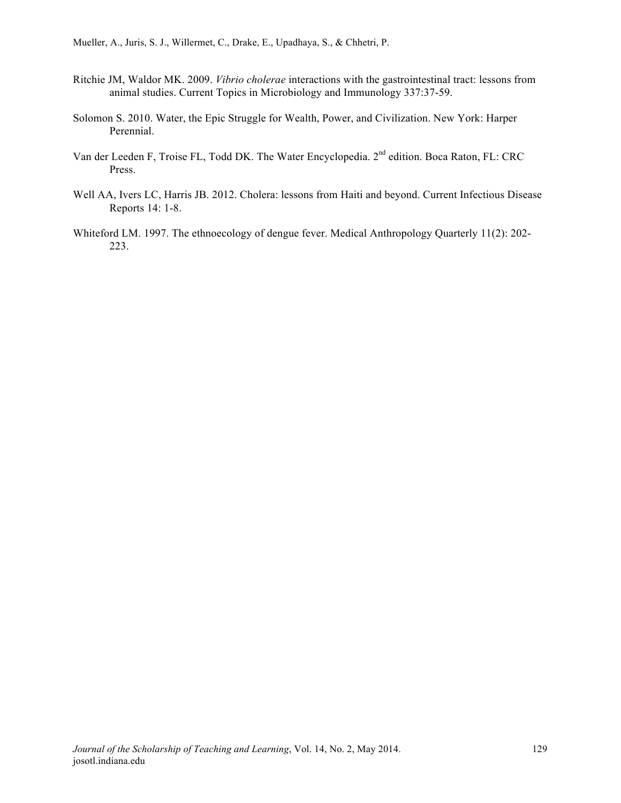Mueller, A., Juris, S. J., Willermet, C., Drake, E., Upadhaya, S., & Chhetri, P.

- Ritchie JM, Waldor MK. 2009. *Vibrio cholerae* interactions with the gastrointestinal tract: lessons from animal studies. Current Topics in Microbiology and Immunology 337:37-59.
- Solomon S. 2010. Water, the Epic Struggle for Wealth, Power, and Civilization. New York: Harper Perennial.
- Van der Leeden F, Troise FL, Todd DK. The Water Encyclopedia. 2nd edition. Boca Raton, FL: CRC Press.
- Well AA, Ivers LC, Harris JB. 2012. Cholera: lessons from Haiti and beyond. Current Infectious Disease Reports 14: 1-8.
- Whiteford LM. 1997. The ethnoecology of dengue fever. Medical Anthropology Quarterly 11(2): 202- 223.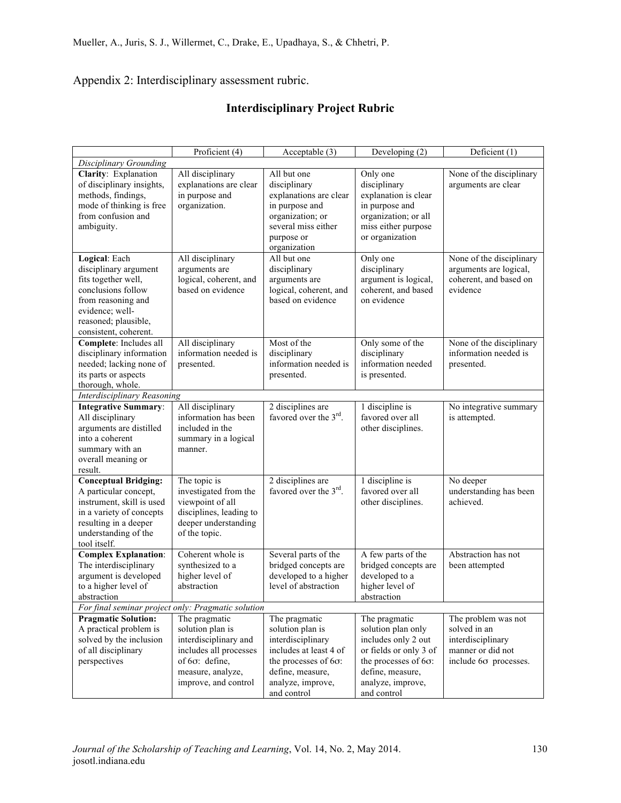Appendix 2: Interdisciplinary assessment rubric.

# **Interdisciplinary Project Rubric**

|                                                    | Proficient (4)          | Acceptable $(3)$                   | Developing (2)               | Deficient (1)            |  |
|----------------------------------------------------|-------------------------|------------------------------------|------------------------------|--------------------------|--|
| Disciplinary Grounding                             |                         |                                    |                              |                          |  |
| Clarity: Explanation                               | All disciplinary        | All but one                        | Only one                     | None of the disciplinary |  |
| of disciplinary insights,                          | explanations are clear  | disciplinary                       | disciplinary                 | arguments are clear      |  |
| methods, findings,                                 | in purpose and          | explanations are clear             | explanation is clear         |                          |  |
| mode of thinking is free                           | organization.           | in purpose and                     | in purpose and               |                          |  |
| from confusion and                                 |                         | organization; or                   | organization; or all         |                          |  |
| ambiguity.                                         |                         | several miss either                | miss either purpose          |                          |  |
|                                                    |                         | purpose or                         | or organization              |                          |  |
|                                                    |                         | organization                       |                              |                          |  |
| Logical: Each                                      | All disciplinary        | All but one                        | Only one                     | None of the disciplinary |  |
| disciplinary argument                              | arguments are           | disciplinary                       | disciplinary                 | arguments are logical,   |  |
| fits together well,                                | logical, coherent, and  | arguments are                      | argument is logical,         | coherent, and based on   |  |
| conclusions follow                                 | based on evidence       | logical, coherent, and             | coherent, and based          | evidence                 |  |
| from reasoning and                                 |                         | based on evidence                  | on evidence                  |                          |  |
| evidence; well-                                    |                         |                                    |                              |                          |  |
| reasoned; plausible,                               |                         |                                    |                              |                          |  |
| consistent, coherent.                              |                         |                                    |                              |                          |  |
| Complete: Includes all                             | All disciplinary        | Most of the                        | Only some of the             | None of the disciplinary |  |
| disciplinary information                           | information needed is   | disciplinary                       | disciplinary                 | information needed is    |  |
| needed; lacking none of                            | presented.              | information needed is              | information needed           | presented.               |  |
| its parts or aspects                               |                         | presented.                         | is presented.                |                          |  |
| thorough, whole.                                   |                         |                                    |                              |                          |  |
| <b>Interdisciplinary Reasoning</b>                 |                         |                                    |                              |                          |  |
| <b>Integrative Summary:</b>                        | All disciplinary        | 2 disciplines are                  | 1 discipline is              | No integrative summary   |  |
| All disciplinary                                   | information has been    | favored over the 3 <sup>rd</sup> . | favored over all             | is attempted.            |  |
| arguments are distilled                            | included in the         |                                    | other disciplines.           |                          |  |
| into a coherent                                    | summary in a logical    |                                    |                              |                          |  |
| summary with an                                    | manner.                 |                                    |                              |                          |  |
| overall meaning or                                 |                         |                                    |                              |                          |  |
| result.                                            |                         |                                    |                              |                          |  |
| <b>Conceptual Bridging:</b>                        | The topic is            | 2 disciplines are                  | 1 discipline is              | No deeper                |  |
| A particular concept,                              | investigated from the   | favored over the 3 <sup>rd</sup> . | favored over all             | understanding has been   |  |
| instrument, skill is used                          | viewpoint of all        |                                    | other disciplines.           | achieved.                |  |
| in a variety of concepts                           | disciplines, leading to |                                    |                              |                          |  |
| resulting in a deeper                              | deeper understanding    |                                    |                              |                          |  |
| understanding of the                               | of the topic.           |                                    |                              |                          |  |
| tool itself.                                       |                         |                                    |                              |                          |  |
| <b>Complex Explanation:</b>                        | Coherent whole is       | Several parts of the               | A few parts of the           | Abstraction has not      |  |
| The interdisciplinary                              | synthesized to a        | bridged concepts are               | bridged concepts are         | been attempted           |  |
| argument is developed                              | higher level of         | developed to a higher              | developed to a               |                          |  |
| to a higher level of                               | abstraction             | level of abstraction               | higher level of              |                          |  |
| abstraction                                        |                         |                                    | abstraction                  |                          |  |
| For final seminar project only: Pragmatic solution |                         |                                    |                              |                          |  |
| <b>Pragmatic Solution:</b>                         | The pragmatic           | The pragmatic                      | The pragmatic                | The problem was not      |  |
| A practical problem is                             | solution plan is        | solution plan is                   | solution plan only           | solved in an             |  |
| solved by the inclusion                            | interdisciplinary and   | interdisciplinary                  | includes only 2 out          | interdisciplinary        |  |
| of all disciplinary                                | includes all processes  | includes at least 4 of             | or fields or only 3 of       | manner or did not        |  |
| perspectives                                       | of $6\sigma$ : define,  | the processes of 6σ:               | the processes of $6\sigma$ : | include 60 processes.    |  |
|                                                    | measure, analyze,       | define, measure,                   | define, measure,             |                          |  |
|                                                    | improve, and control    | analyze, improve,                  | analyze, improve,            |                          |  |
|                                                    |                         | and control                        | and control                  |                          |  |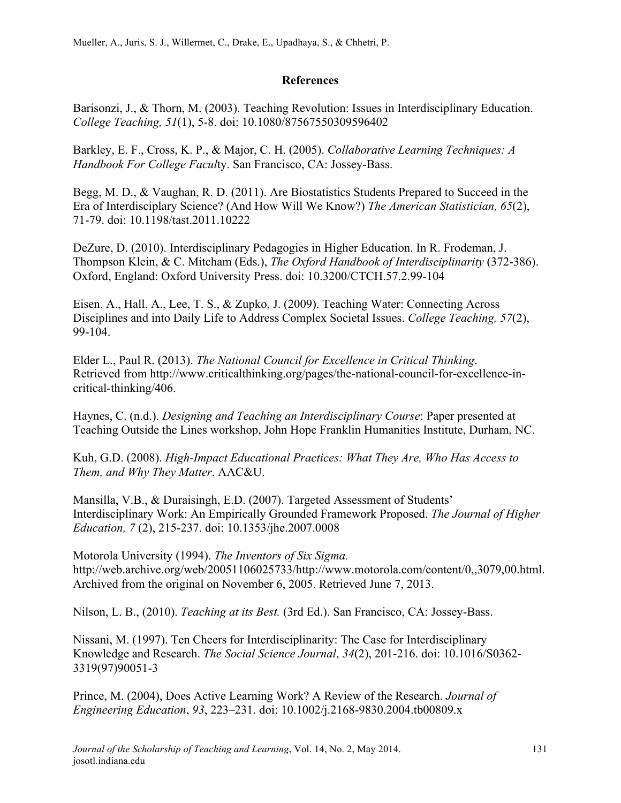## **References**

Barisonzi, J., & Thorn, M. (2003). Teaching Revolution: Issues in Interdisciplinary Education. *College Teaching, 51*(1), 5-8. doi: 10.1080/87567550309596402

Barkley, E. F., Cross, K. P., & Major, C. H. (2005). *Collaborative Learning Techniques: A Handbook For College Facul*ty. San Francisco, CA: Jossey-Bass.

Begg, M. D., & Vaughan, R. D. (2011). Are Biostatistics Students Prepared to Succeed in the Era of Interdisciplary Science? (And How Will We Know?) *The American Statistician, 65*(2), 71-79. doi: 10.1198/tast.2011.10222

DeZure, D. (2010). Interdisciplinary Pedagogies in Higher Education. In R. Frodeman, J. Thompson Klein, & C. Mitcham (Eds.), *The Oxford Handbook of Interdisciplinarity* (372-386). Oxford, England: Oxford University Press. doi: 10.3200/CTCH.57.2.99-104

Eisen, A., Hall, A., Lee, T. S., & Zupko, J. (2009). Teaching Water: Connecting Across Disciplines and into Daily Life to Address Complex Societal Issues. *College Teaching, 57*(2), 99-104.

Elder L., Paul R. (2013). *The National Council for Excellence in Critical Thinking*. Retrieved from http://www.criticalthinking.org/pages/the-national-council-for-excellence-incritical-thinking/406.

Haynes, C. (n.d.). *Designing and Teaching an Interdisciplinary Course*: Paper presented at Teaching Outside the Lines workshop, John Hope Franklin Humanities Institute, Durham, NC.

Kuh, G.D. (2008). *High-Impact Educational Practices: What They Are, Who Has Access to Them, and Why They Matter*. AAC&U.

Mansilla, V.B., & Duraisingh, E.D. (2007). Targeted Assessment of Students' Interdisciplinary Work: An Empirically Grounded Framework Proposed. *The Journal of Higher Education, 7* (2), 215-237. doi: 10.1353/jhe.2007.0008

Motorola University (1994). *The Inventors of Six Sigma.* http://web.archive.org/web/20051106025733/http://www.motorola.com/content/0,,3079,00.html. Archived from the original on November 6, 2005. Retrieved June 7, 2013.

Nilson, L. B., (2010). *Teaching at its Best.* (3rd Ed.). San Francisco, CA: Jossey-Bass.

Nissani, M. (1997). Ten Cheers for Interdisciplinarity: The Case for Interdisciplinary Knowledge and Research. *The Social Science Journal*, *34*(2), 201-216. doi: 10.1016/S0362- 3319(97)90051-3

Prince, M. (2004), Does Active Learning Work? A Review of the Research. *Journal of Engineering Education*, *93*, 223–231. doi: 10.1002/j.2168-9830.2004.tb00809.x